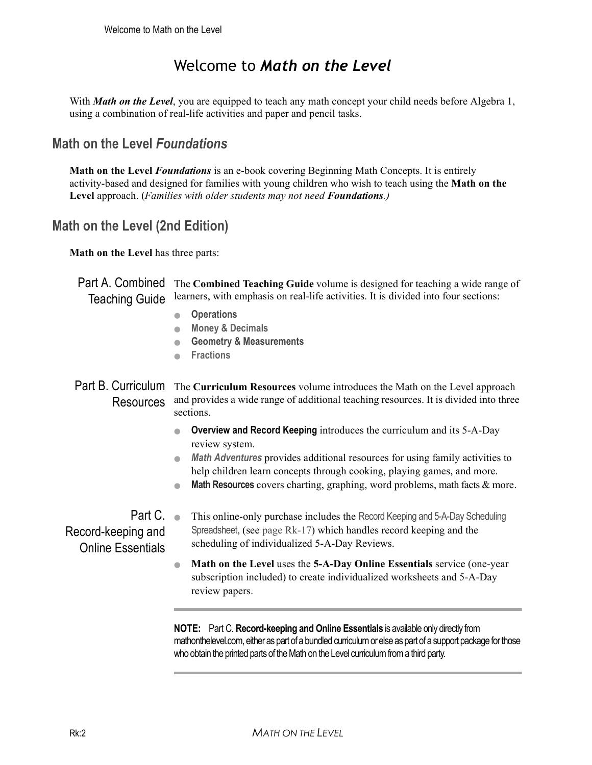# Welcome to *Math on the Level*

With *Math on the Level*, you are equipped to teach any math concept your child needs before Algebra 1, using a combination of real-life activities and paper and pencil tasks.

## **Math on the Level** *Foundations*

**Math on the Level** *Foundations* is an e-book covering Beginning Math Concepts. It is entirely activity-based and designed for families with young children who wish to teach using the **Math on the Level** approach. (*Families with older students may not need Foundations.)*

## **Math on the Level (2nd Edition)**

**Math on the Level** has three parts:

Part A. Combined The Combined Teaching Guide volume is designed for teaching a wide range of Teaching Guide learners, with emphasis on real-life activities. It is divided into four sections:

- **Operations**
- **Money & Decimals**
- **Geometry & Measurements**
- **Fractions**

Part B. Curriculum The Curriculum Resources volume introduces the Math on the Level approach Resources and provides a wide range of additional teaching resources. It is divided into three sections.

- **Overview and Record Keeping** introduces the curriculum and its 5-A-Day review system.
- *Math Adventures* provides additional resources for using family activities to help children learn concepts through cooking, playing games, and more.
- **Math Resources** covers charting, graphing, word problems, math facts & more.

Part C. . Record-keeping and Online Essentials This online-only purchase includes the Record Keeping and 5-A-Day Scheduling Spreadsheet, (see page Rk-17) which handles record keeping and the scheduling of individualized 5-A-Day Reviews.

> ● **Math on the Level** uses the **5-A-Day Online Essentials** service (one-year subscription included) to create individualized worksheets and 5-A-Day review papers.

**NOTE:** Part C. **Record-keeping and Online Essentials** is available only directly from mathonthelevel.com, either as part of a bundled curriculum or else as part of a support package for those who obtain the printed parts of the Math on the Level curriculum from a third party.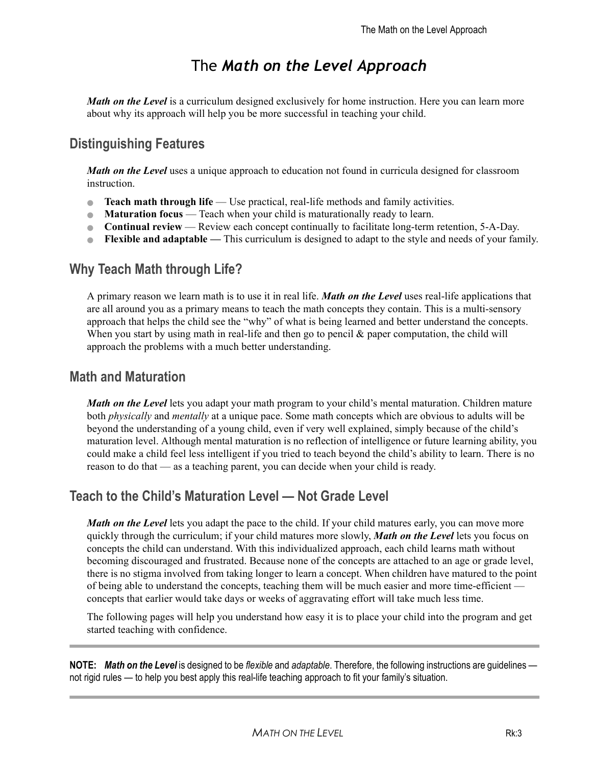# The *Math on the Level Approach*

*Math on the Level* is a curriculum designed exclusively for home instruction. Here you can learn more about why its approach will help you be more successful in teaching your child.

## **Distinguishing Features**

*Math on the Level* uses a unique approach to education not found in curricula designed for classroom instruction.

- **Teach math through life** Use practical, real-life methods and family activities.
- **Maturation focus** Teach when your child is maturationally ready to learn.
- **Continual review** Review each concept continually to facilitate long-term retention, 5-A-Day.
- **Flexible and adaptable** This curriculum is designed to adapt to the style and needs of your family.

### **Why Teach Math through Life?**

A primary reason we learn math is to use it in real life. *Math on the Level* uses real-life applications that are all around you as a primary means to teach the math concepts they contain. This is a multi-sensory approach that helps the child see the "why" of what is being learned and better understand the concepts. When you start by using math in real-life and then go to pencil  $\&$  paper computation, the child will approach the problems with a much better understanding.

### **Math and Maturation**

*Math on the Level* lets you adapt your math program to your child's mental maturation. Children mature both *physically* and *mentally* at a unique pace. Some math concepts which are obvious to adults will be beyond the understanding of a young child, even if very well explained, simply because of the child's maturation level. Although mental maturation is no reflection of intelligence or future learning ability, you could make a child feel less intelligent if you tried to teach beyond the child's ability to learn. There is no reason to do that — as a teaching parent, you can decide when your child is ready.

### **Teach to the Child's Maturation Level — Not Grade Level**

*Math on the Level* lets you adapt the pace to the child. If your child matures early, you can move more quickly through the curriculum; if your child matures more slowly, *Math on the Level* lets you focus on concepts the child can understand. With this individualized approach, each child learns math without becoming discouraged and frustrated. Because none of the concepts are attached to an age or grade level, there is no stigma involved from taking longer to learn a concept. When children have matured to the point of being able to understand the concepts, teaching them will be much easier and more time-efficient concepts that earlier would take days or weeks of aggravating effort will take much less time.

The following pages will help you understand how easy it is to place your child into the program and get started teaching with confidence.

**NOTE:** *Math on the Level* is designed to be *flexible* and *adaptable*. Therefore, the following instructions are guidelines not rigid rules — to help you best apply this real-life teaching approach to fit your family's situation.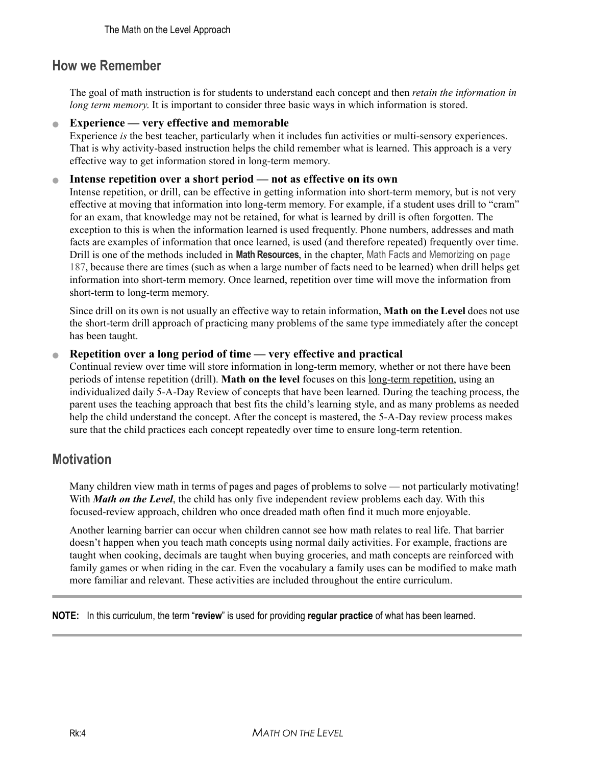### **How we Remember**

The goal of math instruction is for students to understand each concept and then *retain the information in long term memory*. It is important to consider three basic ways in which information is stored.

#### ● **Experience — very effective and memorable**

Experience *is* the best teacher, particularly when it includes fun activities or multi-sensory experiences. That is why activity-based instruction helps the child remember what is learned. This approach is a very effective way to get information stored in long-term memory.

#### ● **Intense repetition over a short period — not as effective on its own**

Intense repetition, or drill, can be effective in getting information into short-term memory, but is not very effective at moving that information into long-term memory. For example, if a student uses drill to "cram" for an exam, that knowledge may not be retained, for what is learned by drill is often forgotten. The exception to this is when the information learned is used frequently. Phone numbers, addresses and math facts are examples of information that once learned, is used (and therefore repeated) frequently over time. Drill is one of the methods included in **Math Resources**, in the chapter, Math Facts and Memorizing on page 187, because there are times (such as when a large number of facts need to be learned) when drill helps get information into short-term memory. Once learned, repetition over time will move the information from short-term to long-term memory.

Since drill on its own is not usually an effective way to retain information, **Math on the Level** does not use the short-term drill approach of practicing many problems of the same type immediately after the concept has been taught.

#### ● **Repetition over a long period of time — very effective and practical**

Continual review over time will store information in long-term memory, whether or not there have been periods of intense repetition (drill). **Math on the level** focuses on this long-term repetition, using an individualized daily 5-A-Day Review of concepts that have been learned. During the teaching process, the parent uses the teaching approach that best fits the child's learning style, and as many problems as needed help the child understand the concept. After the concept is mastered, the 5-A-Day review process makes sure that the child practices each concept repeatedly over time to ensure long-term retention.

### **Motivation**

Many children view math in terms of pages and pages of problems to solve — not particularly motivating! With *Math on the Level*, the child has only five independent review problems each day. With this focused-review approach, children who once dreaded math often find it much more enjoyable.

Another learning barrier can occur when children cannot see how math relates to real life. That barrier doesn't happen when you teach math concepts using normal daily activities. For example, fractions are taught when cooking, decimals are taught when buying groceries, and math concepts are reinforced with family games or when riding in the car. Even the vocabulary a family uses can be modified to make math more familiar and relevant. These activities are included throughout the entire curriculum.

**NOTE:** In this curriculum, the term "**review**" is used for providing **regular practice** of what has been learned.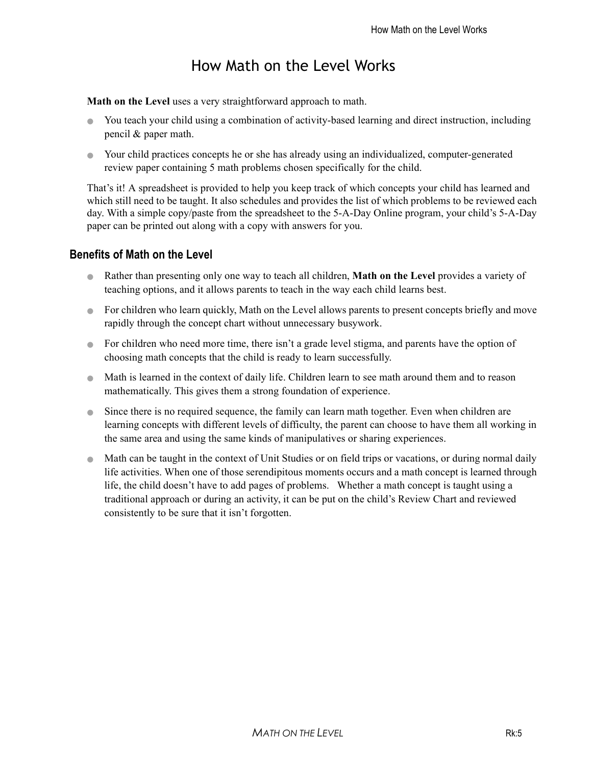# How Math on the Level Works

**Math on the Level** uses a very straightforward approach to math.

- You teach your child using a combination of activity-based learning and direct instruction, including pencil & paper math.
- Your child practices concepts he or she has already using an individualized, computer-generated review paper containing 5 math problems chosen specifically for the child.

That's it! A spreadsheet is provided to help you keep track of which concepts your child has learned and which still need to be taught. It also schedules and provides the list of which problems to be reviewed each day. With a simple copy/paste from the spreadsheet to the 5-A-Day Online program, your child's 5-A-Day paper can be printed out along with a copy with answers for you.

### **Benefits of Math on the Level**

- Rather than presenting only one way to teach all children, **Math on the Level** provides a variety of teaching options, and it allows parents to teach in the way each child learns best.
- For children who learn quickly, Math on the Level allows parents to present concepts briefly and move rapidly through the concept chart without unnecessary busywork.
- For children who need more time, there isn't a grade level stigma, and parents have the option of choosing math concepts that the child is ready to learn successfully.
- Math is learned in the context of daily life. Children learn to see math around them and to reason mathematically. This gives them a strong foundation of experience.
- Since there is no required sequence, the family can learn math together. Even when children are learning concepts with different levels of difficulty, the parent can choose to have them all working in the same area and using the same kinds of manipulatives or sharing experiences.
- Math can be taught in the context of Unit Studies or on field trips or vacations, or during normal daily life activities. When one of those serendipitous moments occurs and a math concept is learned through life, the child doesn't have to add pages of problems. Whether a math concept is taught using a traditional approach or during an activity, it can be put on the child's Review Chart and reviewed consistently to be sure that it isn't forgotten.